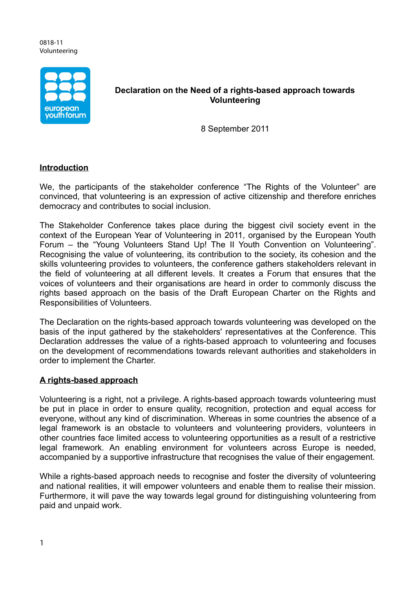#### 0818-11 Volunteering



## **Declaration on the Need of a rights-based approach towards Volunteering**

8 September 2011

# **Introduction**

We, the participants of the stakeholder conference "The Rights of the Volunteer" are convinced, that volunteering is an expression of active citizenship and therefore enriches democracy and contributes to social inclusion.

The Stakeholder Conference takes place during the biggest civil society event in the context of the European Year of Volunteering in 2011, organised by the European Youth Forum – the "Young Volunteers Stand Up! The II Youth Convention on Volunteering". Recognising the value of volunteering, its contribution to the society, its cohesion and the skills volunteering provides to volunteers, the conference gathers stakeholders relevant in the field of volunteering at all different levels. It creates a Forum that ensures that the voices of volunteers and their organisations are heard in order to commonly discuss the rights based approach on the basis of the Draft European Charter on the Rights and Responsibilities of Volunteers.

The Declaration on the rights-based approach towards volunteering was developed on the basis of the input gathered by the stakeholders' representatives at the Conference. This Declaration addresses the value of a rights-based approach to volunteering and focuses on the development of recommendations towards relevant authorities and stakeholders in order to implement the Charter.

## **A rights-based approach**

Volunteering is a right, not a privilege. A rights-based approach towards volunteering must be put in place in order to ensure quality, recognition, protection and equal access for everyone, without any kind of discrimination. Whereas in some countries the absence of a legal framework is an obstacle to volunteers and volunteering providers, volunteers in other countries face limited access to volunteering opportunities as a result of a restrictive legal framework. An enabling environment for volunteers across Europe is needed, accompanied by a supportive infrastructure that recognises the value of their engagement.

While a rights-based approach needs to recognise and foster the diversity of volunteering and national realities, it will empower volunteers and enable them to realise their mission. Furthermore, it will pave the way towards legal ground for distinguishing volunteering from paid and unpaid work.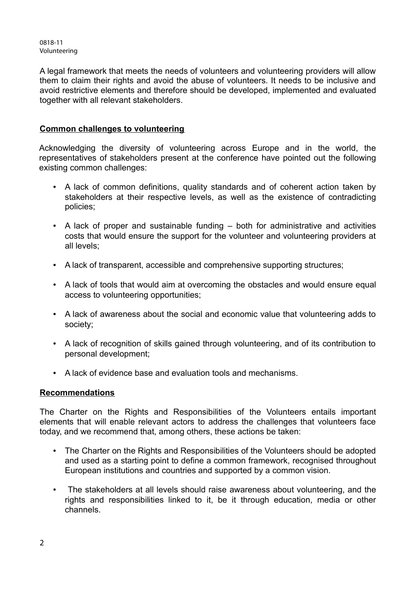0818-11 Volunteering

A legal framework that meets the needs of volunteers and volunteering providers will allow them to claim their rights and avoid the abuse of volunteers. It needs to be inclusive and avoid restrictive elements and therefore should be developed, implemented and evaluated together with all relevant stakeholders.

## **Common challenges to volunteering**

Acknowledging the diversity of volunteering across Europe and in the world, the representatives of stakeholders present at the conference have pointed out the following existing common challenges:

- A lack of common definitions, quality standards and of coherent action taken by stakeholders at their respective levels, as well as the existence of contradicting policies;
- A lack of proper and sustainable funding both for administrative and activities costs that would ensure the support for the volunteer and volunteering providers at all levels;
- A lack of transparent, accessible and comprehensive supporting structures;
- A lack of tools that would aim at overcoming the obstacles and would ensure equal access to volunteering opportunities;
- A lack of awareness about the social and economic value that volunteering adds to society;
- A lack of recognition of skills gained through volunteering, and of its contribution to personal development;
- A lack of evidence base and evaluation tools and mechanisms.

## **Recommendations**

The Charter on the Rights and Responsibilities of the Volunteers entails important elements that will enable relevant actors to address the challenges that volunteers face today, and we recommend that, among others, these actions be taken:

- The Charter on the Rights and Responsibilities of the Volunteers should be adopted and used as a starting point to define a common framework, recognised throughout European institutions and countries and supported by a common vision.
- The stakeholders at all levels should raise awareness about volunteering, and the rights and responsibilities linked to it, be it through education, media or other channels.